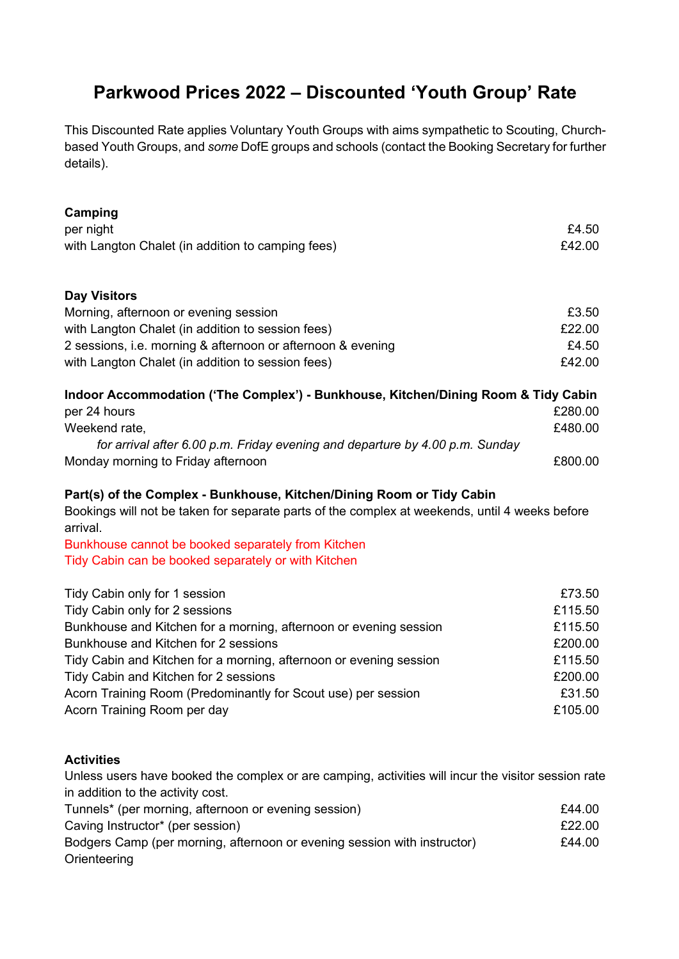## **Parkwood Prices 2022 – Discounted 'Youth Group' Rate**

This Discounted Rate applies Voluntary Youth Groups with aims sympathetic to Scouting, Churchbased Youth Groups, and *some* DofE groups and schools (contact the Booking Secretary for further details).

| Camping                                                                                                    |         |
|------------------------------------------------------------------------------------------------------------|---------|
| per night                                                                                                  | £4.50   |
| with Langton Chalet (in addition to camping fees)                                                          | £42.00  |
| <b>Day Visitors</b>                                                                                        |         |
| Morning, afternoon or evening session                                                                      | £3.50   |
| with Langton Chalet (in addition to session fees)                                                          | £22.00  |
| 2 sessions, i.e. morning & afternoon or afternoon & evening                                                | £4.50   |
| with Langton Chalet (in addition to session fees)                                                          | £42.00  |
| Indoor Accommodation ('The Complex') - Bunkhouse, Kitchen/Dining Room & Tidy Cabin                         |         |
| per 24 hours                                                                                               | £280.00 |
| Weekend rate,                                                                                              | £480.00 |
| for arrival after 6.00 p.m. Friday evening and departure by 4.00 p.m. Sunday                               |         |
| Monday morning to Friday afternoon                                                                         | £800.00 |
| Part(s) of the Complex - Bunkhouse, Kitchen/Dining Room or Tidy Cabin                                      |         |
| Bookings will not be taken for separate parts of the complex at weekends, until 4 weeks before<br>arrival. |         |
| Bunkhouse cannot be booked separately from Kitchen                                                         |         |

Tidy Cabin can be booked separately or with Kitchen

| Tidy Cabin only for 1 session                                      | £73.50  |
|--------------------------------------------------------------------|---------|
| Tidy Cabin only for 2 sessions                                     | £115.50 |
| Bunkhouse and Kitchen for a morning, afternoon or evening session  | £115.50 |
| Bunkhouse and Kitchen for 2 sessions                               | £200.00 |
| Tidy Cabin and Kitchen for a morning, afternoon or evening session | £115.50 |
| Tidy Cabin and Kitchen for 2 sessions                              | £200.00 |
| Acorn Training Room (Predominantly for Scout use) per session      | £31.50  |
| Acorn Training Room per day                                        | £105.00 |

## **Activities**

Unless users have booked the complex or are camping, activities will incur the visitor session rate in addition to the activity cost.

| Tunnels* (per morning, afternoon or evening session)                     | £44.00 |
|--------------------------------------------------------------------------|--------|
| Caving Instructor* (per session)                                         | £22.00 |
| Bodgers Camp (per morning, afternoon or evening session with instructor) | £44.00 |
| Orienteering                                                             |        |